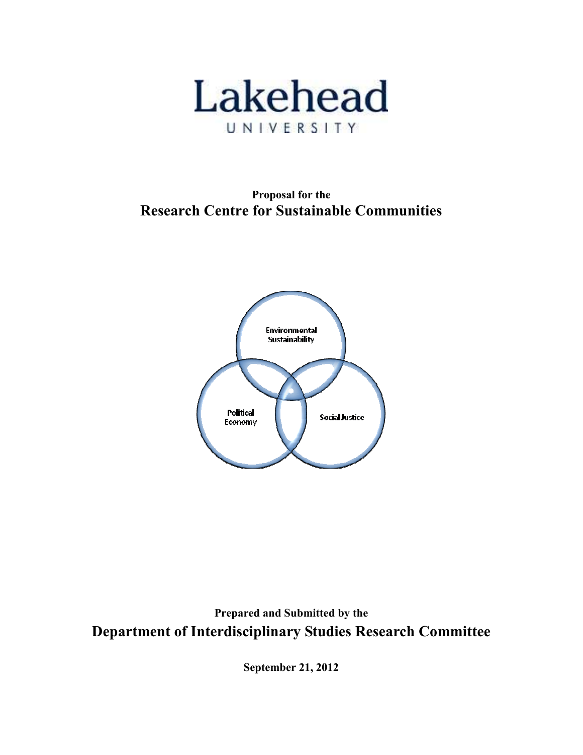

Proposal for the Research Centre for Sustainable Communities



Prepared and Submitted by the Department of Interdisciplinary Studies Research Committee

September 21, 2012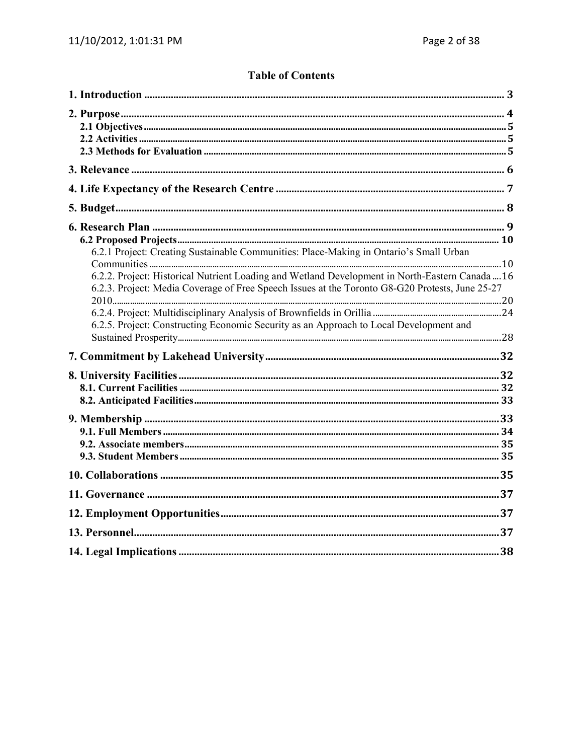# **Table of Contents**

| 6.2.1 Project: Creating Sustainable Communities: Place-Making in Ontario's Small Urban<br>6.2.2. Project: Historical Nutrient Loading and Wetland Development in North-Eastern Canada  16<br>6.2.3. Project: Media Coverage of Free Speech Issues at the Toronto G8-G20 Protests, June 25-27<br>6.2.5. Project: Constructing Economic Security as an Approach to Local Development and |  |
|----------------------------------------------------------------------------------------------------------------------------------------------------------------------------------------------------------------------------------------------------------------------------------------------------------------------------------------------------------------------------------------|--|
|                                                                                                                                                                                                                                                                                                                                                                                        |  |
|                                                                                                                                                                                                                                                                                                                                                                                        |  |
|                                                                                                                                                                                                                                                                                                                                                                                        |  |
|                                                                                                                                                                                                                                                                                                                                                                                        |  |
|                                                                                                                                                                                                                                                                                                                                                                                        |  |
|                                                                                                                                                                                                                                                                                                                                                                                        |  |
|                                                                                                                                                                                                                                                                                                                                                                                        |  |
|                                                                                                                                                                                                                                                                                                                                                                                        |  |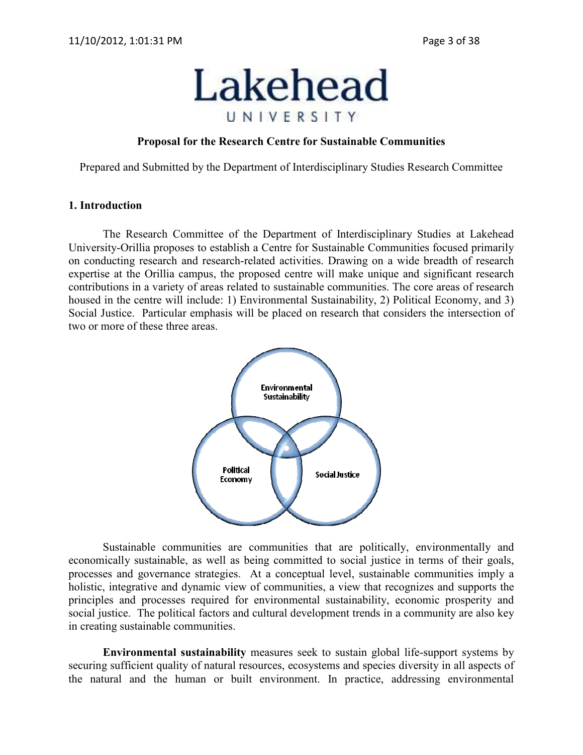

#### Proposal for the Research Centre for Sustainable Communities

Prepared and Submitted by the Department of Interdisciplinary Studies Research Committee

#### 1. Introduction

 The Research Committee of the Department of Interdisciplinary Studies at Lakehead University-Orillia proposes to establish a Centre for Sustainable Communities focused primarily on conducting research and research-related activities. Drawing on a wide breadth of research expertise at the Orillia campus, the proposed centre will make unique and significant research contributions in a variety of areas related to sustainable communities. The core areas of research housed in the centre will include: 1) Environmental Sustainability, 2) Political Economy, and 3) Social Justice. Particular emphasis will be placed on research that considers the intersection of two or more of these three areas.



Sustainable communities are communities that are politically, environmentally and economically sustainable, as well as being committed to social justice in terms of their goals, processes and governance strategies. At a conceptual level, sustainable communities imply a holistic, integrative and dynamic view of communities, a view that recognizes and supports the principles and processes required for environmental sustainability, economic prosperity and social justice. The political factors and cultural development trends in a community are also key in creating sustainable communities.

 Environmental sustainability measures seek to sustain global life-support systems by securing sufficient quality of natural resources, ecosystems and species diversity in all aspects of the natural and the human or built environment. In practice, addressing environmental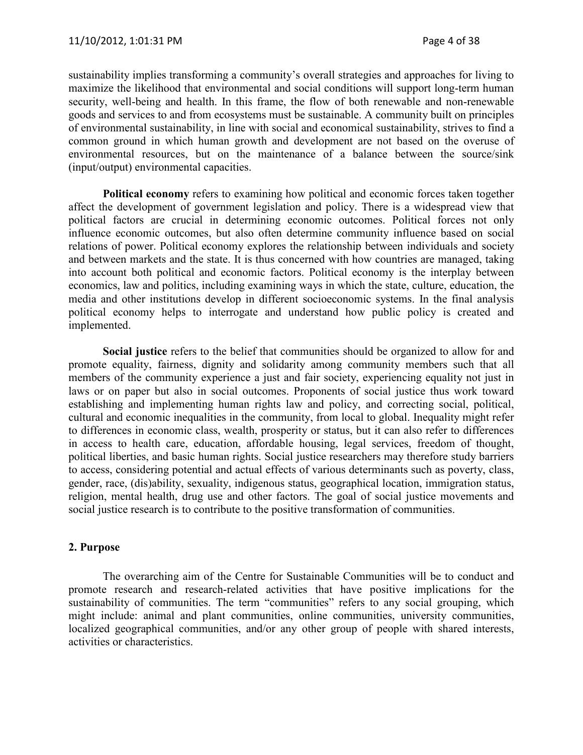sustainability implies transforming a community's overall strategies and approaches for living to maximize the likelihood that environmental and social conditions will support long-term human security, well-being and health. In this frame, the flow of both renewable and non-renewable goods and services to and from ecosystems must be sustainable. A community built on principles of environmental sustainability, in line with social and economical sustainability, strives to find a common ground in which human growth and development are not based on the overuse of environmental resources, but on the maintenance of a balance between the source/sink (input/output) environmental capacities.

 Political economy refers to examining how political and economic forces taken together affect the development of government legislation and policy. There is a widespread view that political factors are crucial in determining economic outcomes. Political forces not only influence economic outcomes, but also often determine community influence based on social relations of power. Political economy explores the relationship between individuals and society and between markets and the state. It is thus concerned with how countries are managed, taking into account both political and economic factors. Political economy is the interplay between economics, law and politics, including examining ways in which the state, culture, education, the media and other institutions develop in different socioeconomic systems. In the final analysis political economy helps to interrogate and understand how public policy is created and implemented.

 Social justice refers to the belief that communities should be organized to allow for and promote equality, fairness, dignity and solidarity among community members such that all members of the community experience a just and fair society, experiencing equality not just in laws or on paper but also in social outcomes. Proponents of social justice thus work toward establishing and implementing human rights law and policy, and correcting social, political, cultural and economic inequalities in the community, from local to global. Inequality might refer to differences in economic class, wealth, prosperity or status, but it can also refer to differences in access to health care, education, affordable housing, legal services, freedom of thought, political liberties, and basic human rights. Social justice researchers may therefore study barriers to access, considering potential and actual effects of various determinants such as poverty, class, gender, race, (dis)ability, sexuality, indigenous status, geographical location, immigration status, religion, mental health, drug use and other factors. The goal of social justice movements and social justice research is to contribute to the positive transformation of communities.

#### 2. Purpose

 The overarching aim of the Centre for Sustainable Communities will be to conduct and promote research and research-related activities that have positive implications for the sustainability of communities. The term "communities" refers to any social grouping, which might include: animal and plant communities, online communities, university communities, localized geographical communities, and/or any other group of people with shared interests, activities or characteristics.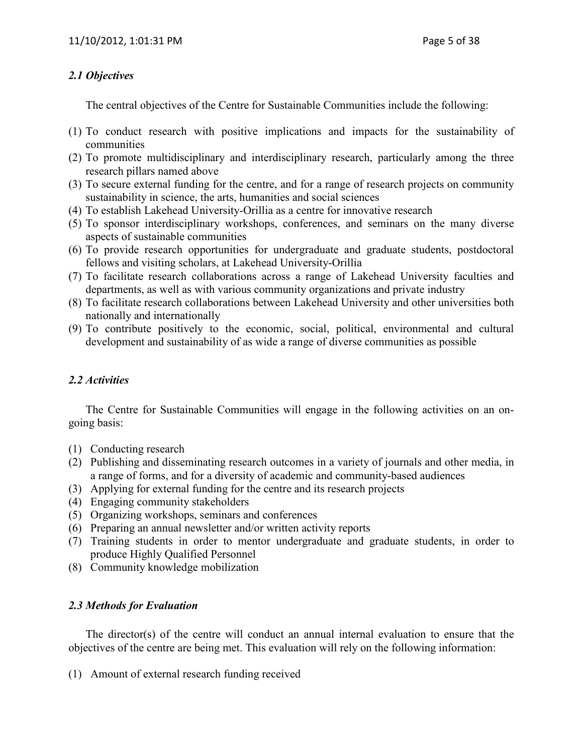## 2.1 Objectives

The central objectives of the Centre for Sustainable Communities include the following:

- (1) To conduct research with positive implications and impacts for the sustainability of communities
- (2) To promote multidisciplinary and interdisciplinary research, particularly among the three research pillars named above
- (3) To secure external funding for the centre, and for a range of research projects on community sustainability in science, the arts, humanities and social sciences
- (4) To establish Lakehead University-Orillia as a centre for innovative research
- (5) To sponsor interdisciplinary workshops, conferences, and seminars on the many diverse aspects of sustainable communities
- (6) To provide research opportunities for undergraduate and graduate students, postdoctoral fellows and visiting scholars, at Lakehead University-Orillia
- (7) To facilitate research collaborations across a range of Lakehead University faculties and departments, as well as with various community organizations and private industry
- (8) To facilitate research collaborations between Lakehead University and other universities both nationally and internationally
- (9) To contribute positively to the economic, social, political, environmental and cultural development and sustainability of as wide a range of diverse communities as possible

## 2.2 Activities

The Centre for Sustainable Communities will engage in the following activities on an ongoing basis:

- (1) Conducting research
- (2) Publishing and disseminating research outcomes in a variety of journals and other media, in a range of forms, and for a diversity of academic and community-based audiences
- (3) Applying for external funding for the centre and its research projects
- (4) Engaging community stakeholders
- (5) Organizing workshops, seminars and conferences
- (6) Preparing an annual newsletter and/or written activity reports
- (7) Training students in order to mentor undergraduate and graduate students, in order to produce Highly Qualified Personnel
- (8) Community knowledge mobilization

## 2.3 Methods for Evaluation

The director(s) of the centre will conduct an annual internal evaluation to ensure that the objectives of the centre are being met. This evaluation will rely on the following information:

(1) Amount of external research funding received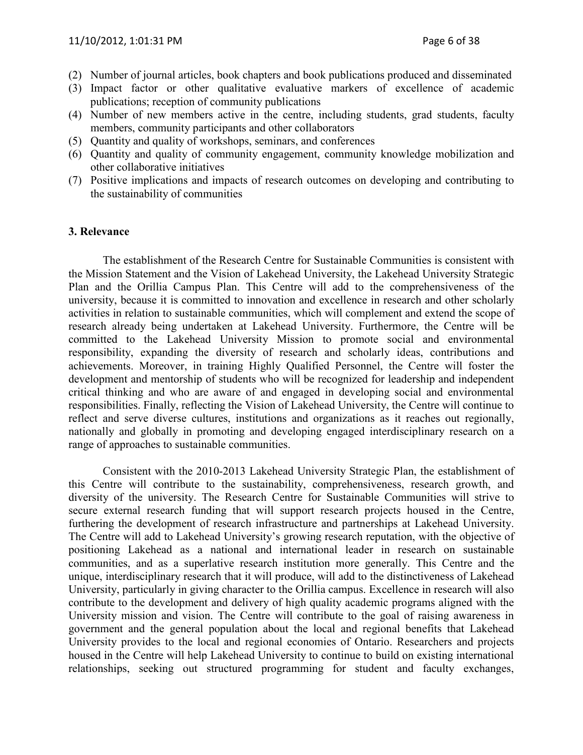- (2) Number of journal articles, book chapters and book publications produced and disseminated
- (3) Impact factor or other qualitative evaluative markers of excellence of academic publications; reception of community publications
- (4) Number of new members active in the centre, including students, grad students, faculty members, community participants and other collaborators
- (5) Quantity and quality of workshops, seminars, and conferences
- (6) Quantity and quality of community engagement, community knowledge mobilization and other collaborative initiatives
- (7) Positive implications and impacts of research outcomes on developing and contributing to the sustainability of communities

#### 3. Relevance

The establishment of the Research Centre for Sustainable Communities is consistent with the Mission Statement and the Vision of Lakehead University, the Lakehead University Strategic Plan and the Orillia Campus Plan. This Centre will add to the comprehensiveness of the university, because it is committed to innovation and excellence in research and other scholarly activities in relation to sustainable communities, which will complement and extend the scope of research already being undertaken at Lakehead University. Furthermore, the Centre will be committed to the Lakehead University Mission to promote social and environmental responsibility, expanding the diversity of research and scholarly ideas, contributions and achievements. Moreover, in training Highly Qualified Personnel, the Centre will foster the development and mentorship of students who will be recognized for leadership and independent critical thinking and who are aware of and engaged in developing social and environmental responsibilities. Finally, reflecting the Vision of Lakehead University, the Centre will continue to reflect and serve diverse cultures, institutions and organizations as it reaches out regionally, nationally and globally in promoting and developing engaged interdisciplinary research on a range of approaches to sustainable communities.

Consistent with the 2010-2013 Lakehead University Strategic Plan, the establishment of this Centre will contribute to the sustainability, comprehensiveness, research growth, and diversity of the university. The Research Centre for Sustainable Communities will strive to secure external research funding that will support research projects housed in the Centre, furthering the development of research infrastructure and partnerships at Lakehead University. The Centre will add to Lakehead University's growing research reputation, with the objective of positioning Lakehead as a national and international leader in research on sustainable communities, and as a superlative research institution more generally. This Centre and the unique, interdisciplinary research that it will produce, will add to the distinctiveness of Lakehead University, particularly in giving character to the Orillia campus. Excellence in research will also contribute to the development and delivery of high quality academic programs aligned with the University mission and vision. The Centre will contribute to the goal of raising awareness in government and the general population about the local and regional benefits that Lakehead University provides to the local and regional economies of Ontario. Researchers and projects housed in the Centre will help Lakehead University to continue to build on existing international relationships, seeking out structured programming for student and faculty exchanges,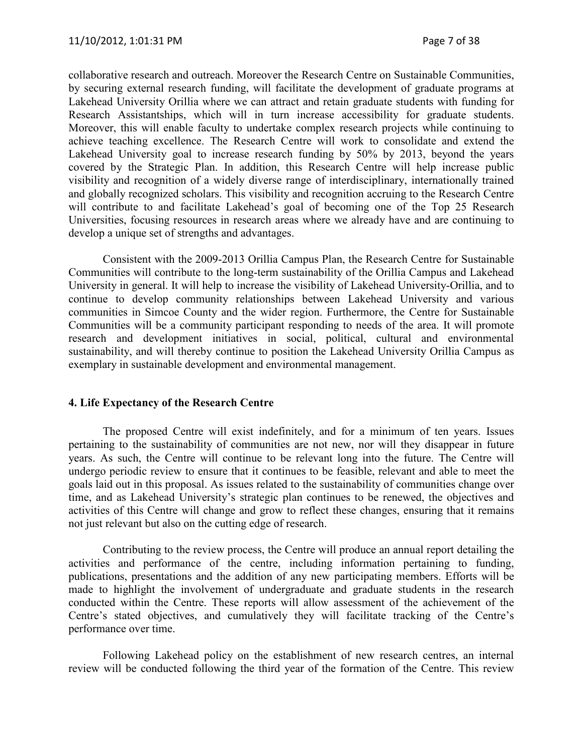collaborative research and outreach. Moreover the Research Centre on Sustainable Communities, by securing external research funding, will facilitate the development of graduate programs at Lakehead University Orillia where we can attract and retain graduate students with funding for Research Assistantships, which will in turn increase accessibility for graduate students. Moreover, this will enable faculty to undertake complex research projects while continuing to achieve teaching excellence. The Research Centre will work to consolidate and extend the Lakehead University goal to increase research funding by 50% by 2013, beyond the years covered by the Strategic Plan. In addition, this Research Centre will help increase public visibility and recognition of a widely diverse range of interdisciplinary, internationally trained and globally recognized scholars. This visibility and recognition accruing to the Research Centre will contribute to and facilitate Lakehead's goal of becoming one of the Top 25 Research Universities, focusing resources in research areas where we already have and are continuing to develop a unique set of strengths and advantages.

Consistent with the 2009-2013 Orillia Campus Plan, the Research Centre for Sustainable Communities will contribute to the long-term sustainability of the Orillia Campus and Lakehead University in general. It will help to increase the visibility of Lakehead University-Orillia, and to continue to develop community relationships between Lakehead University and various communities in Simcoe County and the wider region. Furthermore, the Centre for Sustainable Communities will be a community participant responding to needs of the area. It will promote research and development initiatives in social, political, cultural and environmental sustainability, and will thereby continue to position the Lakehead University Orillia Campus as exemplary in sustainable development and environmental management.

#### 4. Life Expectancy of the Research Centre

 The proposed Centre will exist indefinitely, and for a minimum of ten years. Issues pertaining to the sustainability of communities are not new, nor will they disappear in future years. As such, the Centre will continue to be relevant long into the future. The Centre will undergo periodic review to ensure that it continues to be feasible, relevant and able to meet the goals laid out in this proposal. As issues related to the sustainability of communities change over time, and as Lakehead University's strategic plan continues to be renewed, the objectives and activities of this Centre will change and grow to reflect these changes, ensuring that it remains not just relevant but also on the cutting edge of research.

 Contributing to the review process, the Centre will produce an annual report detailing the activities and performance of the centre, including information pertaining to funding, publications, presentations and the addition of any new participating members. Efforts will be made to highlight the involvement of undergraduate and graduate students in the research conducted within the Centre. These reports will allow assessment of the achievement of the Centre's stated objectives, and cumulatively they will facilitate tracking of the Centre's performance over time.

 Following Lakehead policy on the establishment of new research centres, an internal review will be conducted following the third year of the formation of the Centre. This review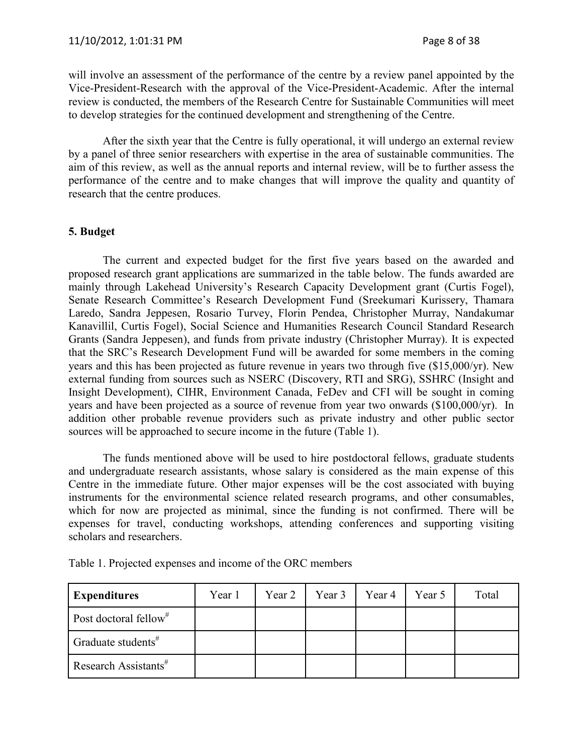will involve an assessment of the performance of the centre by a review panel appointed by the Vice-President-Research with the approval of the Vice-President-Academic. After the internal review is conducted, the members of the Research Centre for Sustainable Communities will meet to develop strategies for the continued development and strengthening of the Centre.

 After the sixth year that the Centre is fully operational, it will undergo an external review by a panel of three senior researchers with expertise in the area of sustainable communities. The aim of this review, as well as the annual reports and internal review, will be to further assess the performance of the centre and to make changes that will improve the quality and quantity of research that the centre produces.

#### 5. Budget

The current and expected budget for the first five years based on the awarded and proposed research grant applications are summarized in the table below. The funds awarded are mainly through Lakehead University's Research Capacity Development grant (Curtis Fogel), Senate Research Committee's Research Development Fund (Sreekumari Kurissery, Thamara Laredo, Sandra Jeppesen, Rosario Turvey, Florin Pendea, Christopher Murray, Nandakumar Kanavillil, Curtis Fogel), Social Science and Humanities Research Council Standard Research Grants (Sandra Jeppesen), and funds from private industry (Christopher Murray). It is expected that the SRC's Research Development Fund will be awarded for some members in the coming years and this has been projected as future revenue in years two through five (\$15,000/yr). New external funding from sources such as NSERC (Discovery, RTI and SRG), SSHRC (Insight and Insight Development), CIHR, Environment Canada, FeDev and CFI will be sought in coming years and have been projected as a source of revenue from year two onwards (\$100,000/yr). In addition other probable revenue providers such as private industry and other public sector sources will be approached to secure income in the future (Table 1).

The funds mentioned above will be used to hire postdoctoral fellows, graduate students and undergraduate research assistants, whose salary is considered as the main expense of this Centre in the immediate future. Other major expenses will be the cost associated with buying instruments for the environmental science related research programs, and other consumables, which for now are projected as minimal, since the funding is not confirmed. There will be expenses for travel, conducting workshops, attending conferences and supporting visiting scholars and researchers.

|  |  | Table 1. Projected expenses and income of the ORC members |
|--|--|-----------------------------------------------------------|
|  |  |                                                           |

| <b>Expenditures</b>               | Year 1 | Year 2 | Year 3 | Year 4 | Year 5 | Total |
|-----------------------------------|--------|--------|--------|--------|--------|-------|
| Post doctoral fellow <sup>#</sup> |        |        |        |        |        |       |
| Graduate students $#$             |        |        |        |        |        |       |
| Research Assistants <sup>#</sup>  |        |        |        |        |        |       |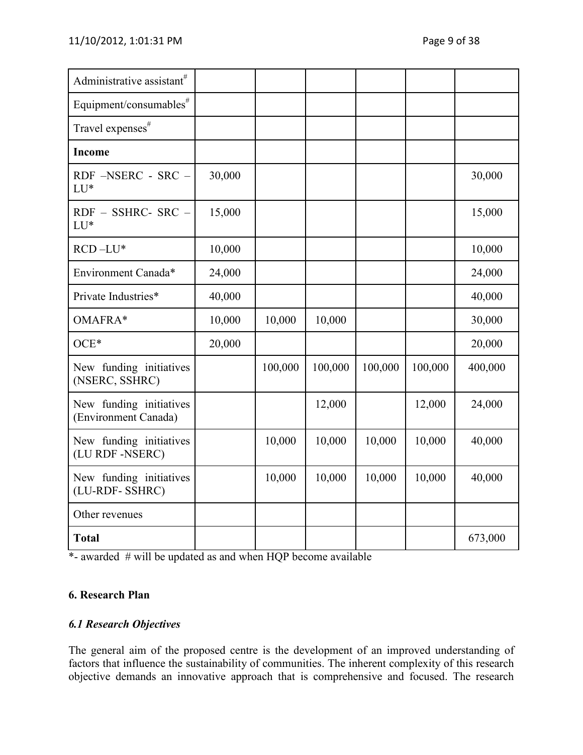| Administrative assistant <sup>#</sup>           |        |         |         |         |         |         |
|-------------------------------------------------|--------|---------|---------|---------|---------|---------|
| Equipment/consumables <sup>#</sup>              |        |         |         |         |         |         |
| Travel expenses <sup>#</sup>                    |        |         |         |         |         |         |
| <b>Income</b>                                   |        |         |         |         |         |         |
| RDF -NSERC - SRC -<br>LU*                       | 30,000 |         |         |         |         | 30,000  |
| RDF - SSHRC- SRC -<br>LU*                       | 15,000 |         |         |         |         | 15,000  |
| $RCD - LU*$                                     | 10,000 |         |         |         |         | 10,000  |
| Environment Canada*                             | 24,000 |         |         |         |         | 24,000  |
| Private Industries*                             | 40,000 |         |         |         |         | 40,000  |
| OMAFRA*                                         | 10,000 | 10,000  | 10,000  |         |         | 30,000  |
| $OCE*$                                          | 20,000 |         |         |         |         | 20,000  |
| New funding initiatives<br>(NSERC, SSHRC)       |        | 100,000 | 100,000 | 100,000 | 100,000 | 400,000 |
| New funding initiatives<br>(Environment Canada) |        |         | 12,000  |         | 12,000  | 24,000  |
| New funding initiatives<br>(LU RDF-NSERC)       |        | 10,000  | 10,000  | 10,000  | 10,000  | 40,000  |
| New funding initiatives<br>(LU-RDF- SSHRC)      |        | 10,000  | 10,000  | 10,000  | 10,000  | 40,000  |
| Other revenues                                  |        |         |         |         |         |         |
| <b>Total</b>                                    |        |         |         |         |         | 673,000 |

\*- awarded # will be updated as and when HQP become available

## 6. Research Plan

## 6.1 Research Objectives

The general aim of the proposed centre is the development of an improved understanding of factors that influence the sustainability of communities. The inherent complexity of this research objective demands an innovative approach that is comprehensive and focused. The research